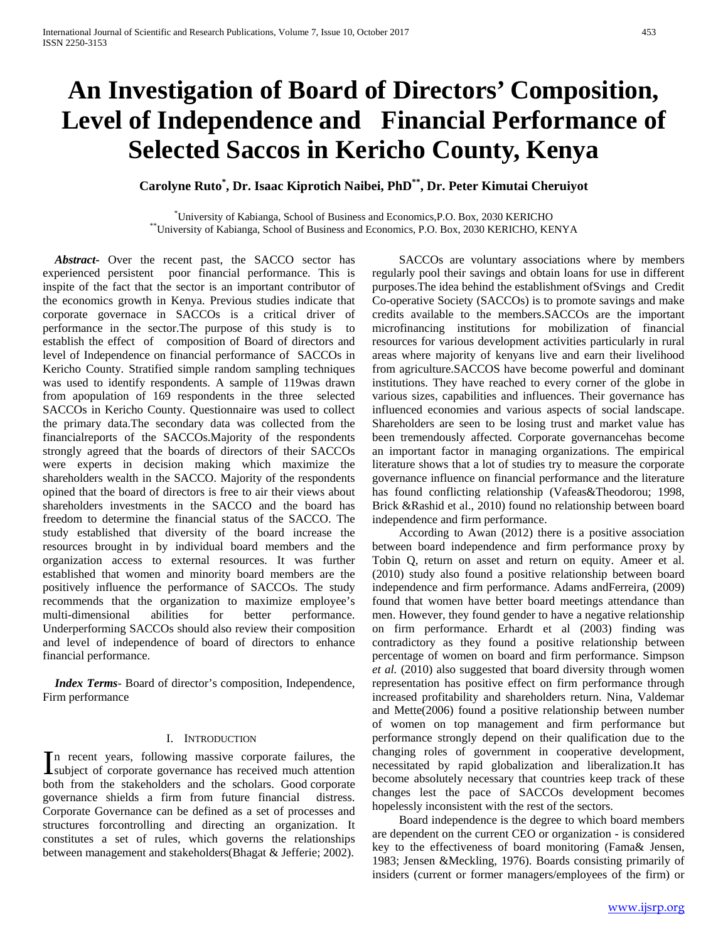# **An Investigation of Board of Directors' Composition, Level of Independence and Financial Performance of Selected Saccos in Kericho County, Kenya**

**Carolyne Ruto\* , Dr. Isaac Kiprotich Naibei, PhD\*\*, Dr. Peter Kimutai Cheruiyot**

<sup>\*</sup>University of Kabianga, School of Business and Economics, P.O. Box, 2030 KERICHO \*\*University of Kabianga, School of Business and Economics, P.O. Box, 2030 KERICHO, KENYA

 *Abstract***-** Over the recent past, the SACCO sector has experienced persistent poor financial performance. This is inspite of the fact that the sector is an important contributor of the economics growth in Kenya. Previous studies indicate that corporate governace in SACCOs is a critical driver of performance in the sector.The purpose of this study is to establish the effect of composition of Board of directors and level of Independence on financial performance of SACCOs in Kericho County. Stratified simple random sampling techniques was used to identify respondents. A sample of 119was drawn from apopulation of 169 respondents in the three selected SACCOs in Kericho County. Questionnaire was used to collect the primary data.The secondary data was collected from the financialreports of the SACCOs.Majority of the respondents strongly agreed that the boards of directors of their SACCOs were experts in decision making which maximize the shareholders wealth in the SACCO. Majority of the respondents opined that the board of directors is free to air their views about shareholders investments in the SACCO and the board has freedom to determine the financial status of the SACCO. The study established that diversity of the board increase the resources brought in by individual board members and the organization access to external resources. It was further established that women and minority board members are the positively influence the performance of SACCOs. The study recommends that the organization to maximize employee's multi-dimensional abilities for better performance. Underperforming SACCOs should also review their composition and level of independence of board of directors to enhance financial performance.

 *Index Terms*- Board of director's composition, Independence, Firm performance

## I. INTRODUCTION

n recent years, following massive corporate failures, the In recent years, following massive corporate failures, the subject of corporate governance has received much attention both from the stakeholders and the scholars. Good corporate governance shields a firm from future financial distress. Corporate Governance can be defined as a set of processes and structures forcontrolling and directing an organization. It constitutes a set of rules, which governs the relationships between management and stakeholders(Bhagat & Jefferie; 2002).

 SACCOs are voluntary associations where by members regularly pool their savings and obtain loans for use in different purposes.The idea behind the establishment ofSvings and Credit Co-operative Society (SACCOs) is to promote savings and make credits available to the members.SACCOs are the important microfinancing institutions for mobilization of financial resources for various development activities particularly in rural areas where majority of kenyans live and earn their livelihood from agriculture.SACCOS have become powerful and dominant institutions. They have reached to every corner of the globe in various sizes, capabilities and influences. Their governance has influenced economies and various aspects of social landscape. Shareholders are seen to be losing trust and market value has been tremendously affected. Corporate governancehas become an important factor in managing organizations. The empirical literature shows that a lot of studies try to measure the corporate governance influence on financial performance and the literature has found conflicting relationship (Vafeas&Theodorou; 1998, Brick &Rashid et al., 2010) found no relationship between board independence and firm performance.

 According to Awan (2012) there is a positive association between board independence and firm performance proxy by Tobin Q, return on asset and return on equity. Ameer et al. (2010) study also found a positive relationship between board independence and firm performance. Adams andFerreira, (2009) found that women have better board meetings attendance than men. However, they found gender to have a negative relationship on firm performance. Erhardt et al (2003) finding was contradictory as they found a positive relationship between percentage of women on board and firm performance. Simpson *et al.* (2010) also suggested that board diversity through women representation has positive effect on firm performance through increased profitability and shareholders return. Nina, Valdemar and Mette(2006) found a positive relationship between number of women on top management and firm performance but performance strongly depend on their qualification due to the changing roles of government in cooperative development, necessitated by rapid globalization and liberalization.It has become absolutely necessary that countries keep track of these changes lest the pace of SACCOs development becomes hopelessly inconsistent with the rest of the sectors.

 Board independence is the degree to which board members are dependent on the current CEO or organization - is considered key to the effectiveness of board monitoring (Fama& Jensen, 1983; Jensen &Meckling, 1976). Boards consisting primarily of insiders (current or former managers/employees of the firm) or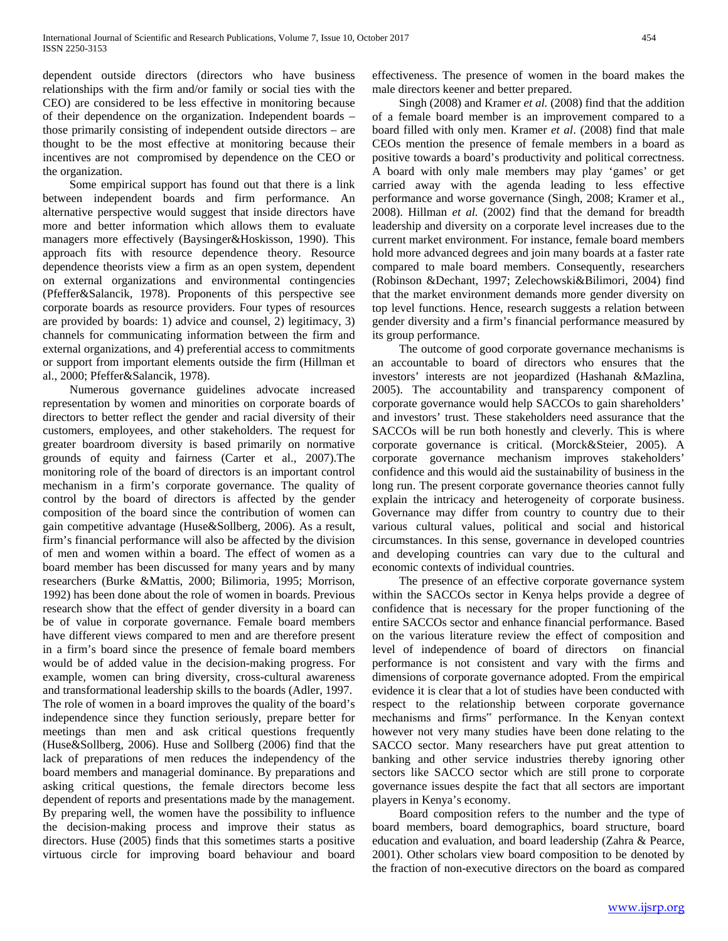dependent outside directors (directors who have business relationships with the firm and/or family or social ties with the CEO) are considered to be less effective in monitoring because of their dependence on the organization. Independent boards – those primarily consisting of independent outside directors – are thought to be the most effective at monitoring because their incentives are not compromised by dependence on the CEO or the organization.

 Some empirical support has found out that there is a link between independent boards and firm performance. An alternative perspective would suggest that inside directors have more and better information which allows them to evaluate managers more effectively (Baysinger&Hoskisson, 1990). This approach fits with resource dependence theory. Resource dependence theorists view a firm as an open system, dependent on external organizations and environmental contingencies (Pfeffer&Salancik, 1978). Proponents of this perspective see corporate boards as resource providers. Four types of resources are provided by boards: 1) advice and counsel, 2) legitimacy, 3) channels for communicating information between the firm and external organizations, and 4) preferential access to commitments or support from important elements outside the firm (Hillman et al., 2000; Pfeffer&Salancik, 1978).

 Numerous governance guidelines advocate increased representation by women and minorities on corporate boards of directors to better reflect the gender and racial diversity of their customers, employees, and other stakeholders. The request for greater boardroom diversity is based primarily on normative grounds of equity and fairness (Carter et al., 2007).The monitoring role of the board of directors is an important control mechanism in a firm's corporate governance. The quality of control by the board of directors is affected by the gender composition of the board since the contribution of women can gain competitive advantage (Huse&Sollberg, 2006). As a result, firm's financial performance will also be affected by the division of men and women within a board. The effect of women as a board member has been discussed for many years and by many researchers (Burke &Mattis, 2000; Bilimoria, 1995; Morrison, 1992) has been done about the role of women in boards. Previous research show that the effect of gender diversity in a board can be of value in corporate governance. Female board members have different views compared to men and are therefore present in a firm's board since the presence of female board members would be of added value in the decision-making progress. For example, women can bring diversity, cross-cultural awareness and transformational leadership skills to the boards (Adler, 1997. The role of women in a board improves the quality of the board's independence since they function seriously, prepare better for meetings than men and ask critical questions frequently (Huse&Sollberg, 2006). Huse and Sollberg (2006) find that the lack of preparations of men reduces the independency of the board members and managerial dominance. By preparations and asking critical questions, the female directors become less dependent of reports and presentations made by the management. By preparing well, the women have the possibility to influence the decision-making process and improve their status as directors. Huse (2005) finds that this sometimes starts a positive virtuous circle for improving board behaviour and board

effectiveness. The presence of women in the board makes the male directors keener and better prepared.

 Singh (2008) and Kramer *et al.* (2008) find that the addition of a female board member is an improvement compared to a board filled with only men. Kramer *et al*. (2008) find that male CEOs mention the presence of female members in a board as positive towards a board's productivity and political correctness. A board with only male members may play 'games' or get carried away with the agenda leading to less effective performance and worse governance (Singh, 2008; Kramer et al., 2008). Hillman *et al.* (2002) find that the demand for breadth leadership and diversity on a corporate level increases due to the current market environment. For instance, female board members hold more advanced degrees and join many boards at a faster rate compared to male board members. Consequently, researchers (Robinson &Dechant, 1997; Zelechowski&Bilimori, 2004) find that the market environment demands more gender diversity on top level functions. Hence, research suggests a relation between gender diversity and a firm's financial performance measured by its group performance.

 The outcome of good corporate governance mechanisms is an accountable to board of directors who ensures that the investors' interests are not jeopardized (Hashanah &Mazlina, 2005). The accountability and transparency component of corporate governance would help SACCOs to gain shareholders' and investors' trust. These stakeholders need assurance that the SACCOs will be run both honestly and cleverly. This is where corporate governance is critical. (Morck&Steier, 2005). A corporate governance mechanism improves stakeholders' confidence and this would aid the sustainability of business in the long run. The present corporate governance theories cannot fully explain the intricacy and heterogeneity of corporate business. Governance may differ from country to country due to their various cultural values, political and social and historical circumstances. In this sense, governance in developed countries and developing countries can vary due to the cultural and economic contexts of individual countries.

 The presence of an effective corporate governance system within the SACCOs sector in Kenya helps provide a degree of confidence that is necessary for the proper functioning of the entire SACCOs sector and enhance financial performance. Based on the various literature review the effect of composition and level of independence of board of directors on financial performance is not consistent and vary with the firms and dimensions of corporate governance adopted. From the empirical evidence it is clear that a lot of studies have been conducted with respect to the relationship between corporate governance mechanisms and firms" performance. In the Kenyan context however not very many studies have been done relating to the SACCO sector. Many researchers have put great attention to banking and other service industries thereby ignoring other sectors like SACCO sector which are still prone to corporate governance issues despite the fact that all sectors are important players in Kenya's economy.

 Board composition refers to the number and the type of board members, board demographics, board structure, board education and evaluation, and board leadership (Zahra & Pearce, 2001). Other scholars view board composition to be denoted by the fraction of non-executive directors on the board as compared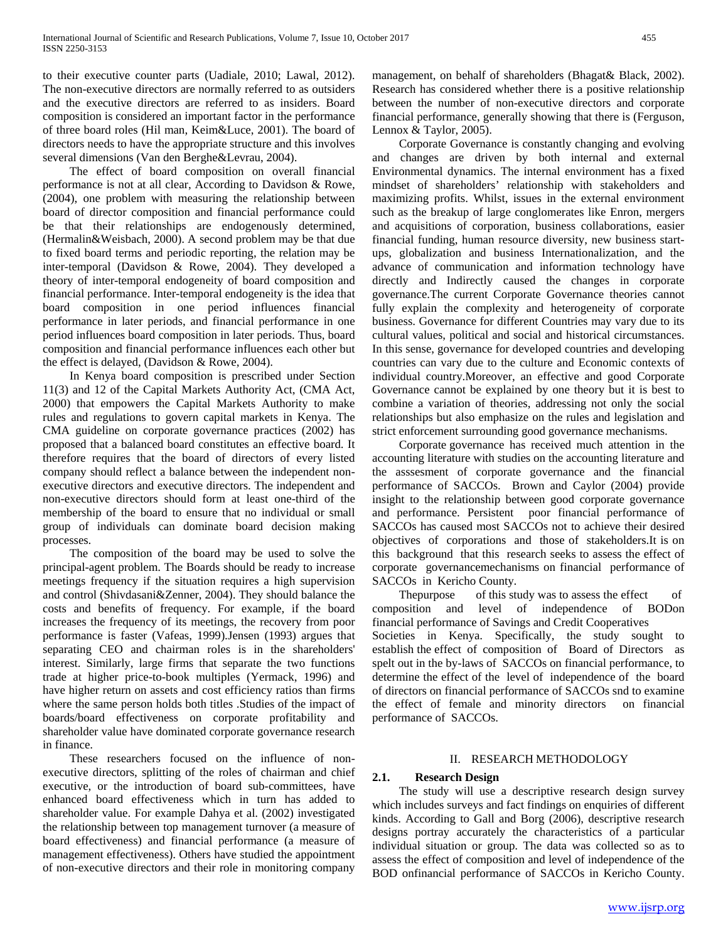to their executive counter parts (Uadiale, 2010; Lawal, 2012). The non-executive directors are normally referred to as outsiders and the executive directors are referred to as insiders. Board composition is considered an important factor in the performance of three board roles (Hil man, Keim&Luce, 2001). The board of directors needs to have the appropriate structure and this involves several dimensions (Van den Berghe&Levrau, 2004).

 The effect of board composition on overall financial performance is not at all clear, According to Davidson & Rowe, (2004), one problem with measuring the relationship between board of director composition and financial performance could be that their relationships are endogenously determined, (Hermalin&Weisbach, 2000). A second problem may be that due to fixed board terms and periodic reporting, the relation may be inter-temporal (Davidson & Rowe, 2004). They developed a theory of inter-temporal endogeneity of board composition and financial performance. Inter-temporal endogeneity is the idea that board composition in one period influences financial performance in later periods, and financial performance in one period influences board composition in later periods. Thus, board composition and financial performance influences each other but the effect is delayed, (Davidson & Rowe, 2004).

 In Kenya board composition is prescribed under Section 11(3) and 12 of the Capital Markets Authority Act, (CMA Act, 2000) that empowers the Capital Markets Authority to make rules and regulations to govern capital markets in Kenya. The CMA guideline on corporate governance practices (2002) has proposed that a balanced board constitutes an effective board. It therefore requires that the board of directors of every listed company should reflect a balance between the independent nonexecutive directors and executive directors. The independent and non-executive directors should form at least one-third of the membership of the board to ensure that no individual or small group of individuals can dominate board decision making processes.

 The composition of the board may be used to solve the principal-agent problem. The Boards should be ready to increase meetings frequency if the situation requires a high supervision and control (Shivdasani&Zenner, 2004). They should balance the costs and benefits of frequency. For example, if the board increases the frequency of its meetings, the recovery from poor performance is faster (Vafeas, 1999).Jensen (1993) argues that separating CEO and chairman roles is in the shareholders' interest. Similarly, large firms that separate the two functions trade at higher price-to-book multiples (Yermack, 1996) and have higher return on assets and cost efficiency ratios than firms where the same person holds both titles .Studies of the impact of boards/board effectiveness on corporate profitability and shareholder value have dominated corporate governance research in finance.

 These researchers focused on the influence of nonexecutive directors, splitting of the roles of chairman and chief executive, or the introduction of board sub-committees, have enhanced board effectiveness which in turn has added to shareholder value. For example Dahya et al. (2002) investigated the relationship between top management turnover (a measure of board effectiveness) and financial performance (a measure of management effectiveness). Others have studied the appointment of non-executive directors and their role in monitoring company

management, on behalf of shareholders (Bhagat& Black, 2002). Research has considered whether there is a positive relationship between the number of non-executive directors and corporate financial performance, generally showing that there is (Ferguson, Lennox & Taylor, 2005).

 Corporate Governance is constantly changing and evolving and changes are driven by both internal and external Environmental dynamics. The internal environment has a fixed mindset of shareholders' relationship with stakeholders and maximizing profits. Whilst, issues in the external environment such as the breakup of large conglomerates like Enron, mergers and acquisitions of corporation, business collaborations, easier financial funding, human resource diversity, new business startups, globalization and business Internationalization, and the advance of communication and information technology have directly and Indirectly caused the changes in corporate governance.The current Corporate Governance theories cannot fully explain the complexity and heterogeneity of corporate business. Governance for different Countries may vary due to its cultural values, political and social and historical circumstances. In this sense, governance for developed countries and developing countries can vary due to the culture and Economic contexts of individual country.Moreover, an effective and good Corporate Governance cannot be explained by one theory but it is best to combine a variation of theories, addressing not only the social relationships but also emphasize on the rules and legislation and strict enforcement surrounding good governance mechanisms.

 Corporate governance has received much attention in the accounting literature with studies on the accounting literature and the asssesment of corporate governance and the financial performance of SACCOs. Brown and Caylor (2004) provide insight to the relationship between good corporate governance and performance. Persistent poor financial performance of SACCOs has caused most SACCOs not to achieve their desired objectives of corporations and those of stakeholders.It is on this background that this research seeks to assess the effect of corporate governancemechanisms on financial performance of SACCOs in Kericho County.

Thepurpose of this study was to assess the effect of composition and level of independence of BODon financial performance of Savings and Credit Cooperatives

Societies in Kenya. Specifically, the study sought to establish the effect of composition of Board of Directors as spelt out in the by-laws of SACCOs on financial performance, to determine the effect of the level of independence of the board of directors on financial performance of SACCOs snd to examine the effect of female and minority directors on financial performance of SACCOs.

## II. RESEARCH METHODOLOGY

## **2.1. Research Design**

 The study will use a descriptive research design survey which includes surveys and fact findings on enquiries of different kinds. According to Gall and Borg (2006), descriptive research designs portray accurately the characteristics of a particular individual situation or group. The data was collected so as to assess the effect of composition and level of independence of the BOD onfinancial performance of SACCOs in Kericho County.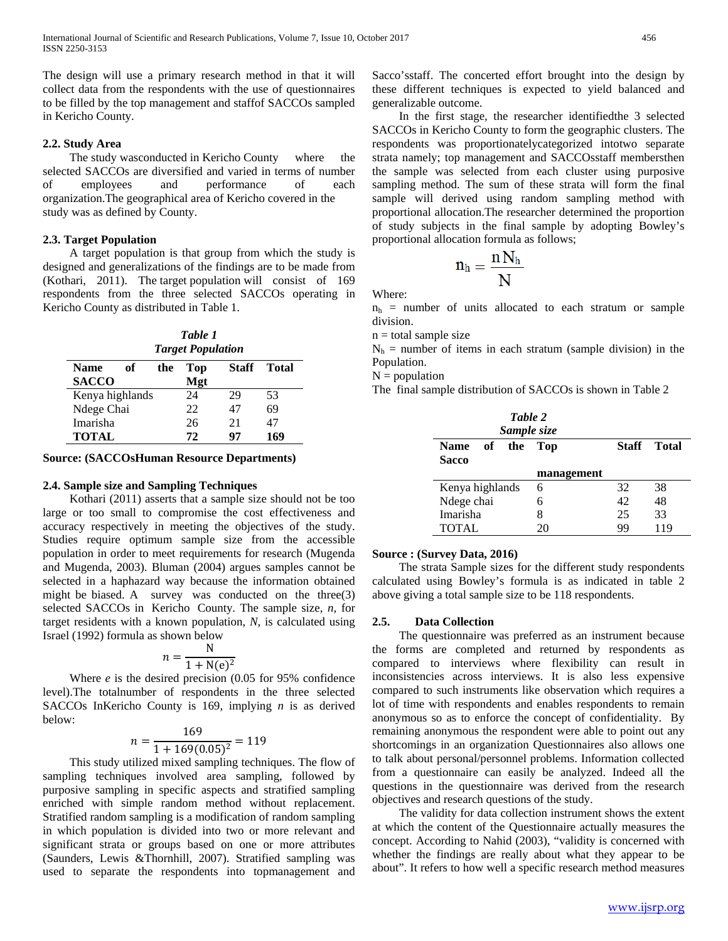The design will use a primary research method in that it will collect data from the respondents with the use of questionnaires to be filled by the top management and staffof SACCOs sampled in Kericho County.

## **2.2. Study Area**

 The study wasconducted in Kericho County where the selected SACCOs are diversified and varied in terms of number of employees and performance of each organization.The geographical area of Kericho covered in the study was as defined by County.

## **2.3. Target Population**

 A target population is that group from which the study is designed and generalizations of the findings are to be made from (Kothari, 2011). The target population will consist of 169 respondents from the three selected SACCOs operating in Kericho County as distributed in Table 1.

*Table 1 Target Population*

| Name            | of | the | Top | <b>Staff</b> | Total |
|-----------------|----|-----|-----|--------------|-------|
| <b>SACCO</b>    |    |     | Mgt |              |       |
| Kenya highlands |    |     | 24  | 29           | 53    |
| Ndege Chai      |    |     | 22  | 47           | 69    |
| Imarisha        |    |     | 26  | 21           | 47    |
| <b>TOTAL</b>    |    |     | 72  | 97           | 169   |

### **Source: (SACCOsHuman Resource Departments)**

### **2.4. Sample size and Sampling Techniques**

 Kothari (2011) asserts that a sample size should not be too large or too small to compromise the cost effectiveness and accuracy respectively in meeting the objectives of the study. Studies require optimum sample size from the accessible population in order to meet requirements for research (Mugenda and Mugenda, 2003). Bluman (2004) argues samples cannot be selected in a haphazard way because the information obtained might be biased. A survey was conducted on the three(3) selected SACCOs in Kericho County. The sample size, *n,* for target residents with a known population, *N,* is calculated using Israel (1992) formula as shown below

$$
n = \frac{N}{1 + N(e)^2}
$$

 Where *e* is the desired precision (0.05 for 95% confidence level).The totalnumber of respondents in the three selected SACCOs InKericho County is 169, implying *n* is as derived below:

$$
n = \frac{169}{1 + 169(0.05)^2} = 119
$$

 This study utilized mixed sampling techniques. The flow of sampling techniques involved area sampling, followed by purposive sampling in specific aspects and stratified sampling enriched with simple random method without replacement. Stratified random sampling is a modification of random sampling in which population is divided into two or more relevant and significant strata or groups based on one or more attributes (Saunders, Lewis &Thornhill, 2007). Stratified sampling was used to separate the respondents into topmanagement and

Sacco'sstaff. The concerted effort brought into the design by these different techniques is expected to yield balanced and generalizable outcome.

 In the first stage, the researcher identifiedthe 3 selected SACCOs in Kericho County to form the geographic clusters. The respondents was proportionatelycategorized intotwo separate strata namely; top management and SACCOsstaff membersthen the sample was selected from each cluster using purposive sampling method. The sum of these strata will form the final sample will derived using random sampling method with proportional allocation.The researcher determined the proportion of study subjects in the final sample by adopting Bowley's proportional allocation formula as follows;

$$
n_h = \frac{n\,N_h}{N}
$$

Where:

 $n_h$  = number of units allocated to each stratum or sample division.

 $n =$  total sample size

 $N_h$  = number of items in each stratum (sample division) in the Population.

 $N =$  population

The final sample distribution of SACCOs is shown in Table 2

| Table 2<br>Sample size   |               |       |              |
|--------------------------|---------------|-------|--------------|
| of<br>the<br><b>Name</b> | Top           | Staff | <b>Total</b> |
| Sacco                    | management    |       |              |
| Kenya highlands          | 6             | 32    | 38           |
| Ndege chai               | 42<br>48<br>6 |       |              |
| Imarisha                 | 8             | 25    | 33           |
| <b>TOTAL</b>             |               | 99    | 119          |

#### **Source : (Survey Data, 2016)**

 The strata Sample sizes for the different study respondents calculated using Bowley's formula is as indicated in table 2 above giving a total sample size to be 118 respondents.

#### **2.5. Data Collection**

 The questionnaire was preferred as an instrument because the forms are completed and returned by respondents as compared to interviews where flexibility can result in inconsistencies across interviews. It is also less expensive compared to such instruments like observation which requires a lot of time with respondents and enables respondents to remain anonymous so as to enforce the concept of confidentiality. By remaining anonymous the respondent were able to point out any shortcomings in an organization Questionnaires also allows one to talk about personal/personnel problems. Information collected from a questionnaire can easily be analyzed. Indeed all the questions in the questionnaire was derived from the research objectives and research questions of the study.

 The validity for data collection instrument shows the extent at which the content of the Questionnaire actually measures the concept. According to Nahid (2003), "validity is concerned with whether the findings are really about what they appear to be about". It refers to how well a specific research method measures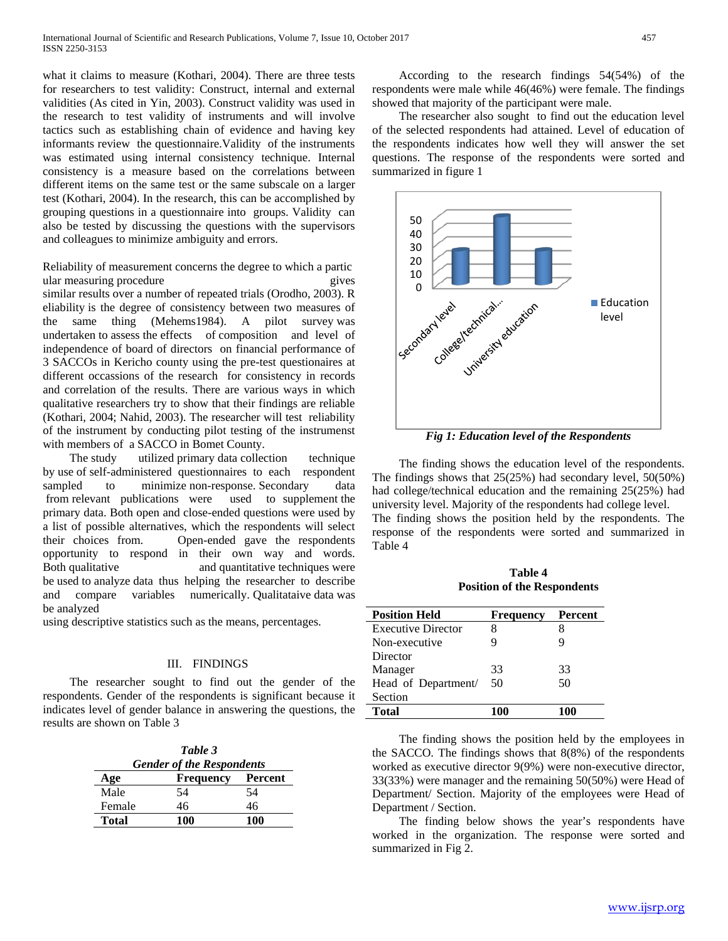what it claims to measure (Kothari, 2004). There are three tests for researchers to test validity: Construct, internal and external validities (As cited in Yin, 2003). Construct validity was used in the research to test validity of instruments and will involve tactics such as establishing chain of evidence and having key informants review the questionnaire.Validity of the instruments was estimated using internal consistency technique. Internal consistency is a measure based on the correlations between different items on the same test or the same subscale on a larger test (Kothari, 2004). In the research, this can be accomplished by grouping questions in a questionnaire into groups. Validity can also be tested by discussing the questions with the supervisors and colleagues to minimize ambiguity and errors.

Reliability of measurement concerns the degree to which a partic ular measuring procedure gives similar results over a number of repeated trials (Orodho, 2003). R eliability is the degree of consistency between two measures of the same thing (Mehems1984). A pilot survey was undertaken to assess the effects of composition and level of independence of board of directors on financial performance of 3 SACCOs in Kericho county using the pre-test questionaires at different occassions of the research for consistency in records and correlation of the results. There are various ways in which qualitative researchers try to show that their findings are reliable (Kothari, 2004; Nahid, 2003). The researcher will test reliability of the instrument by conducting pilot testing of the instrumenst with members of a SACCO in Bomet County.

 The study utilized primary data collection technique by use of self-administered questionnaires to each respondent sampled to minimize non-response. Secondary data from relevant publications were used to supplement the primary data. Both open and close-ended questions were used by a list of possible alternatives, which the respondents will select their choices from. Open-ended gave the respondents opportunity to respond in their own way and words. Both qualitative and quantitative techniques were be used to analyze data thus helping the researcher to describe and compare variables numerically. Qualitataive data was be analyzed

using descriptive statistics such as the means, percentages.

#### III. FINDINGS

 The researcher sought to find out the gender of the respondents. Gender of the respondents is significant because it indicates level of gender balance in answering the questions, the results are shown on Table 3

> *Table 3 Gender of the Respondents* **Age Frequency Percent** Male 54 54 Female 46 46 **Total 100 100**

 According to the research findings 54(54%) of the respondents were male while 46(46%) were female. The findings showed that majority of the participant were male.

 The researcher also sought to find out the education level of the selected respondents had attained. Level of education of the respondents indicates how well they will answer the set questions. The response of the respondents were sorted and summarized in figure 1



*Fig 1: Education level of the Respondents*

 The finding shows the education level of the respondents. The findings shows that 25(25%) had secondary level, 50(50%) had college/technical education and the remaining 25(25%) had university level. Majority of the respondents had college level. The finding shows the position held by the respondents. The response of the respondents were sorted and summarized in Table 4

**Table 4 Position of the Respondents**

| <b>Position Held</b>      | <b>Frequency</b> | Percent |  |
|---------------------------|------------------|---------|--|
| <b>Executive Director</b> | 8                |         |  |
| Non-executive             | g                | ч       |  |
| Director                  |                  |         |  |
| Manager                   | 33               | 33      |  |
| Head of Department/       | 50               | 50      |  |
| Section                   |                  |         |  |
| <b>Total</b>              |                  |         |  |

 The finding shows the position held by the employees in the SACCO. The findings shows that 8(8%) of the respondents worked as executive director 9(9%) were non-executive director, 33(33%) were manager and the remaining 50(50%) were Head of Department/ Section. Majority of the employees were Head of Department / Section.

 The finding below shows the year's respondents have worked in the organization. The response were sorted and summarized in Fig 2.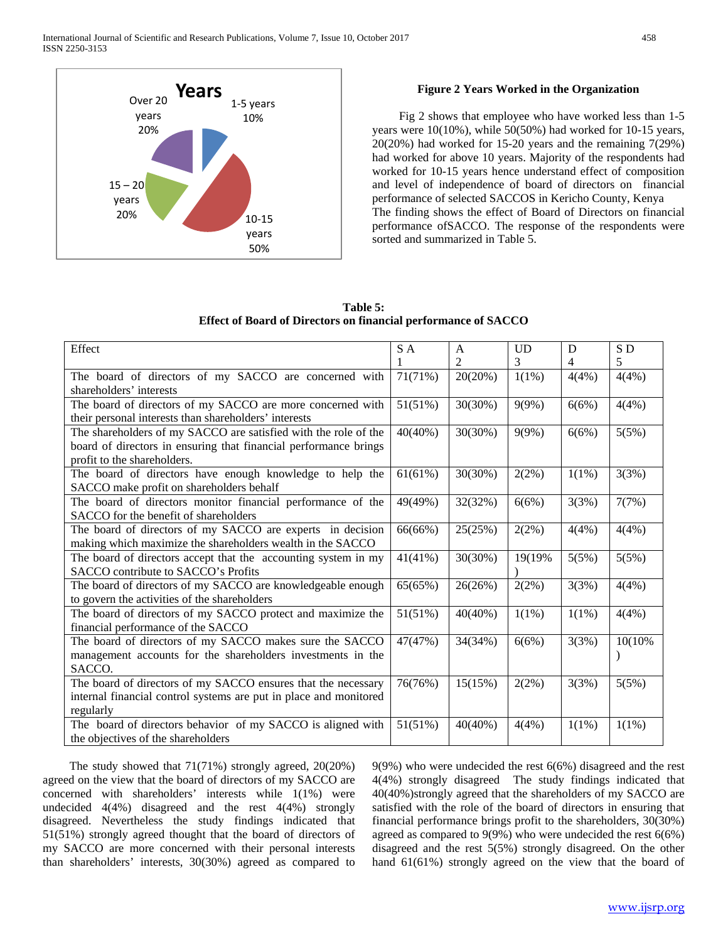

## **Figure 2 Years Worked in the Organization**

 Fig 2 shows that employee who have worked less than 1-5 years were 10(10%), while 50(50%) had worked for 10-15 years, 20(20%) had worked for 15-20 years and the remaining 7(29%) had worked for above 10 years. Majority of the respondents had worked for 10-15 years hence understand effect of composition and level of independence of board of directors on financial performance of selected SACCOS in Kericho County, Kenya The finding shows the effect of Board of Directors on financial performance ofSACCO. The response of the respondents were sorted and summarized in Table 5.

|  | Table 5:                                                       |
|--|----------------------------------------------------------------|
|  | Effect of Board of Directors on financial performance of SACCO |

| Effect                                                            | SA      | A              | <b>UD</b> | D        | SD       |
|-------------------------------------------------------------------|---------|----------------|-----------|----------|----------|
|                                                                   |         | $\overline{2}$ | 3         | 4        | 5        |
| The board of directors of my SACCO are concerned with             | 71(71%) | 20(20%)        | $1(1\%)$  | 4(4%)    | 4(4%)    |
| shareholders' interests                                           |         |                |           |          |          |
| The board of directors of my SACCO are more concerned with        | 51(51%) | 30(30%)        | 9(9%)     | 6(6%)    | 4(4%)    |
| their personal interests than shareholders' interests             |         |                |           |          |          |
| The shareholders of my SACCO are satisfied with the role of the   | 40(40%) | 30(30%)        | 9(9%)     | 6(6%)    | 5(5%)    |
| board of directors in ensuring that financial performance brings  |         |                |           |          |          |
| profit to the shareholders.                                       |         |                |           |          |          |
| The board of directors have enough knowledge to help the          | 61(61%) | 30(30%)        | 2(2%)     | $1(1\%)$ | 3(3%)    |
| SACCO make profit on shareholders behalf                          |         |                |           |          |          |
| The board of directors monitor financial performance of the       | 49(49%) | 32(32%)        | 6(6%)     | 3(3%)    | 7(7%)    |
| SACCO for the benefit of shareholders                             |         |                |           |          |          |
| The board of directors of my SACCO are experts in decision        | 66(66%) | 25(25%)        | 2(2%)     | 4(4%)    | 4(4%)    |
| making which maximize the shareholders wealth in the SACCO        | 41(41%) |                |           |          |          |
| The board of directors accept that the accounting system in my    |         | 30(30%)        | 19(19%)   | 5(5%)    | 5(5%)    |
| SACCO contribute to SACCO's Profits                               |         |                |           |          |          |
| The board of directors of my SACCO are knowledgeable enough       | 65(65%) | 26(26%)        | 2(2%)     | 3(3%)    | 4(4%)    |
| to govern the activities of the shareholders                      |         |                |           |          |          |
| The board of directors of my SACCO protect and maximize the       | 51(51%) | 40(40%)        | 1(1%)     | 1(1%)    | 4(4%)    |
| financial performance of the SACCO                                |         |                |           |          |          |
| The board of directors of my SACCO makes sure the SACCO           | 47(47%) | 34(34%)        | 6(6%)     | 3(3%)    | 10(10%)  |
| management accounts for the shareholders investments in the       |         |                |           |          |          |
| SACCO.                                                            |         |                |           |          |          |
| The board of directors of my SACCO ensures that the necessary     | 76(76%) | 15(15%)        | 2(2%)     | 3(3%)    | 5(5%)    |
| internal financial control systems are put in place and monitored |         |                |           |          |          |
| regularly                                                         |         |                |           |          |          |
| The board of directors behavior of my SACCO is aligned with       | 51(51%) | 40(40%)        | 4(4%)     | $1(1\%)$ | $1(1\%)$ |
| the objectives of the shareholders                                |         |                |           |          |          |

 The study showed that 71(71%) strongly agreed, 20(20%) agreed on the view that the board of directors of my SACCO are concerned with shareholders' interests while 1(1%) were undecided 4(4%) disagreed and the rest 4(4%) strongly disagreed. Nevertheless the study findings indicated that 51(51%) strongly agreed thought that the board of directors of my SACCO are more concerned with their personal interests than shareholders' interests, 30(30%) agreed as compared to

9(9%) who were undecided the rest 6(6%) disagreed and the rest 4(4%) strongly disagreed The study findings indicated that 40(40%)strongly agreed that the shareholders of my SACCO are satisfied with the role of the board of directors in ensuring that financial performance brings profit to the shareholders, 30(30%) agreed as compared to 9(9%) who were undecided the rest 6(6%) disagreed and the rest 5(5%) strongly disagreed. On the other hand 61(61%) strongly agreed on the view that the board of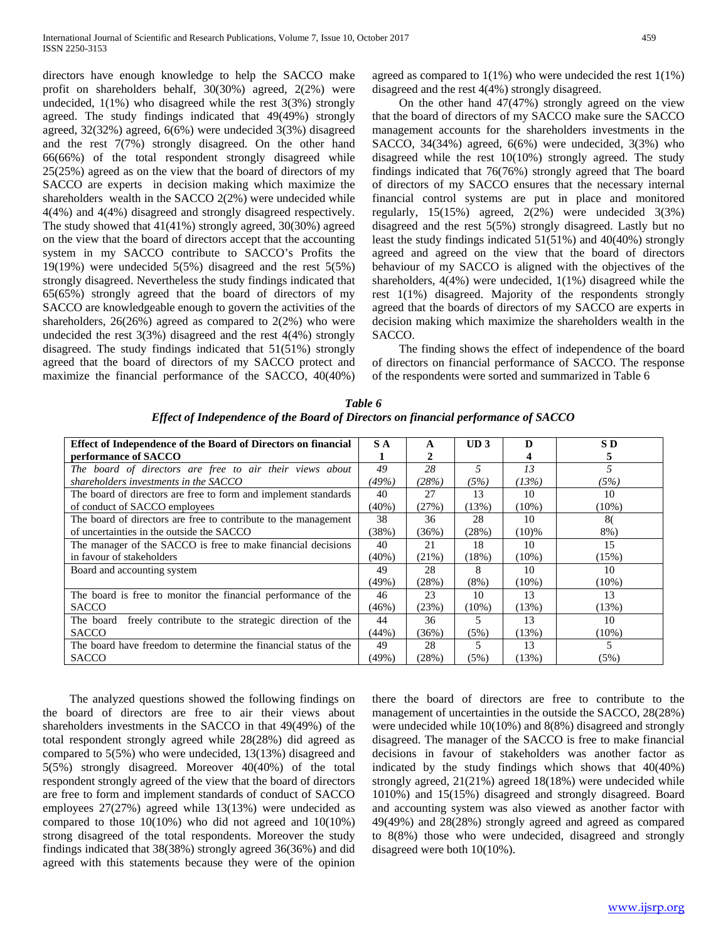directors have enough knowledge to help the SACCO make profit on shareholders behalf, 30(30%) agreed, 2(2%) were undecided,  $1(1\%)$  who disagreed while the rest  $3(3\%)$  strongly agreed. The study findings indicated that 49(49%) strongly agreed, 32(32%) agreed, 6(6%) were undecided 3(3%) disagreed and the rest 7(7%) strongly disagreed. On the other hand 66(66%) of the total respondent strongly disagreed while 25(25%) agreed as on the view that the board of directors of my SACCO are experts in decision making which maximize the shareholders wealth in the SACCO 2(2%) were undecided while 4(4%) and 4(4%) disagreed and strongly disagreed respectively. The study showed that 41(41%) strongly agreed, 30(30%) agreed on the view that the board of directors accept that the accounting system in my SACCO contribute to SACCO's Profits the 19(19%) were undecided 5(5%) disagreed and the rest 5(5%) strongly disagreed. Nevertheless the study findings indicated that 65(65%) strongly agreed that the board of directors of my SACCO are knowledgeable enough to govern the activities of the shareholders,  $26(26%)$  agreed as compared to  $2(2%)$  who were undecided the rest 3(3%) disagreed and the rest 4(4%) strongly disagreed. The study findings indicated that 51(51%) strongly agreed that the board of directors of my SACCO protect and maximize the financial performance of the SACCO, 40(40%)

agreed as compared to  $1(1\%)$  who were undecided the rest  $1(1\%)$ disagreed and the rest 4(4%) strongly disagreed.

 On the other hand 47(47%) strongly agreed on the view that the board of directors of my SACCO make sure the SACCO management accounts for the shareholders investments in the SACCO, 34(34%) agreed, 6(6%) were undecided, 3(3%) who disagreed while the rest 10(10%) strongly agreed. The study findings indicated that 76(76%) strongly agreed that The board of directors of my SACCO ensures that the necessary internal financial control systems are put in place and monitored regularly, 15(15%) agreed, 2(2%) were undecided 3(3%) disagreed and the rest 5(5%) strongly disagreed. Lastly but no least the study findings indicated 51(51%) and 40(40%) strongly agreed and agreed on the view that the board of directors behaviour of my SACCO is aligned with the objectives of the shareholders, 4(4%) were undecided, 1(1%) disagreed while the rest 1(1%) disagreed. Majority of the respondents strongly agreed that the boards of directors of my SACCO are experts in decision making which maximize the shareholders wealth in the SACCO.

 The finding shows the effect of independence of the board of directors on financial performance of SACCO. The response of the respondents were sorted and summarized in Table 6

|                                                                  | S A      |          |         |          |          |
|------------------------------------------------------------------|----------|----------|---------|----------|----------|
| Effect of Independence of the Board of Directors on financial    |          | A        | UD3     | D        | S D      |
| performance of SACCO                                             |          |          |         |          | 5        |
| The board of directors are free to air their views about         | 49       | 28       | 5       | 13       | 5        |
| shareholders investments in the SACCO                            | (49%)    | (28%)    | (5%)    | (13%)    | (5%)     |
| The board of directors are free to form and implement standards  | 40       | 27       | 13      | 10       | 10       |
| of conduct of SACCO employees                                    | $(40\%)$ | (27%)    | (13%)   | $(10\%)$ | $(10\%)$ |
| The board of directors are free to contribute to the management  | 38       | 36       | 28      | 10       | 80       |
| of uncertainties in the outside the SACCO                        | (38%)    | (36%)    | (28%)   | $(10)\%$ | 8%)      |
| The manager of the SACCO is free to make financial decisions     | 40       | 21       | 18      | 10       | 15       |
| in favour of stakeholders                                        | $(40\%)$ | $(21\%)$ | (18%)   | $(10\%)$ | (15%)    |
| Board and accounting system                                      | 49       | 28       | 8       | 10       | 10       |
|                                                                  | $(49\%)$ | (28%)    | $(8\%)$ | $(10\%)$ | $(10\%)$ |
| The board is free to monitor the financial performance of the    | 46       | 23       | 10      | 13       | 13       |
| <b>SACCO</b>                                                     | (46%)    | (23%)    | (10%)   | (13%)    | (13%)    |
| freely contribute to the strategic direction of the<br>The board | 44       | 36       | 5       | 13       | 10       |
| <b>SACCO</b>                                                     | (44%)    | (36%)    | (5%)    | (13%)    | $(10\%)$ |
| The board have freedom to determine the financial status of the  | 49       | 28       | 5       | 13       | 5        |
| <b>SACCO</b>                                                     | (49%)    | (28%)    | (5%)    | (13%)    | (5%)     |

*Table 6 Effect of Independence of the Board of Directors on financial performance of SACCO*

 The analyzed questions showed the following findings on the board of directors are free to air their views about shareholders investments in the SACCO in that 49(49%) of the total respondent strongly agreed while 28(28%) did agreed as compared to 5(5%) who were undecided, 13(13%) disagreed and 5(5%) strongly disagreed. Moreover 40(40%) of the total respondent strongly agreed of the view that the board of directors are free to form and implement standards of conduct of SACCO employees 27(27%) agreed while 13(13%) were undecided as compared to those  $10(10\%)$  who did not agreed and  $10(10\%)$ strong disagreed of the total respondents. Moreover the study findings indicated that 38(38%) strongly agreed 36(36%) and did agreed with this statements because they were of the opinion

there the board of directors are free to contribute to the management of uncertainties in the outside the SACCO, 28(28%) were undecided while 10(10%) and 8(8%) disagreed and strongly disagreed. The manager of the SACCO is free to make financial decisions in favour of stakeholders was another factor as indicated by the study findings which shows that 40(40%) strongly agreed, 21(21%) agreed 18(18%) were undecided while 1010%) and 15(15%) disagreed and strongly disagreed. Board and accounting system was also viewed as another factor with 49(49%) and 28(28%) strongly agreed and agreed as compared to 8(8%) those who were undecided, disagreed and strongly disagreed were both 10(10%).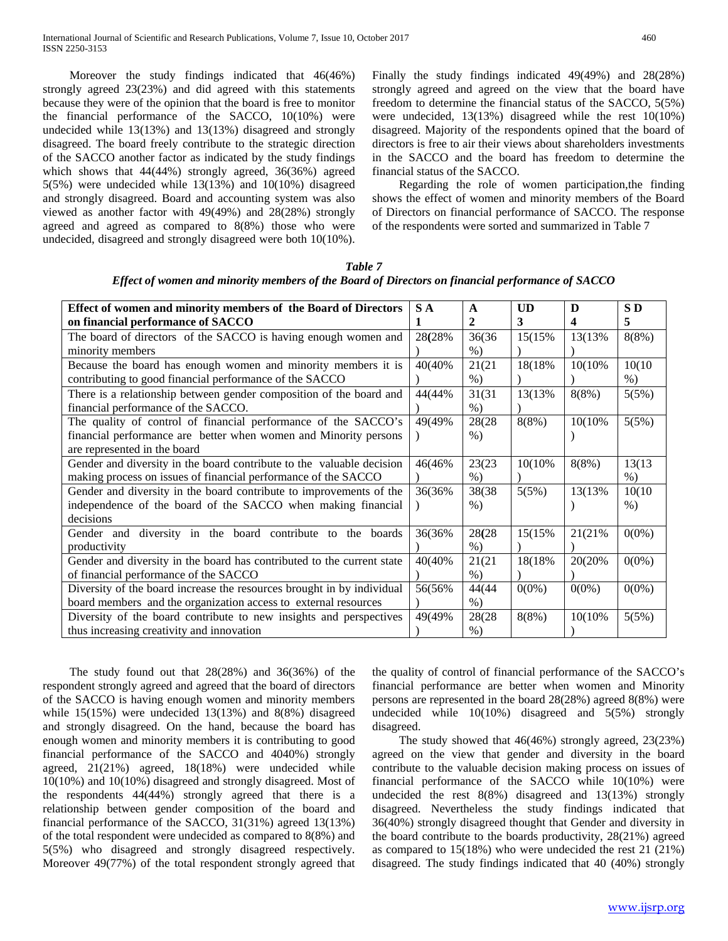Moreover the study findings indicated that 46(46%) strongly agreed 23(23%) and did agreed with this statements because they were of the opinion that the board is free to monitor the financial performance of the SACCO, 10(10%) were undecided while 13(13%) and 13(13%) disagreed and strongly disagreed. The board freely contribute to the strategic direction of the SACCO another factor as indicated by the study findings which shows that 44(44%) strongly agreed, 36(36%) agreed 5(5%) were undecided while 13(13%) and 10(10%) disagreed and strongly disagreed. Board and accounting system was also viewed as another factor with 49(49%) and 28(28%) strongly agreed and agreed as compared to 8(8%) those who were undecided, disagreed and strongly disagreed were both 10(10%).

Finally the study findings indicated 49(49%) and 28(28%) strongly agreed and agreed on the view that the board have freedom to determine the financial status of the SACCO, 5(5%) were undecided, 13(13%) disagreed while the rest 10(10%) disagreed. Majority of the respondents opined that the board of directors is free to air their views about shareholders investments in the SACCO and the board has freedom to determine the financial status of the SACCO.

 Regarding the role of women participation,the finding shows the effect of women and minority members of the Board of Directors on financial performance of SACCO. The response of the respondents were sorted and summarized in Table 7

| Effect of women and minority members of the Board of Directors         | S A     | A      | <b>UD</b> | $\bf{D}$ | SD <sub>1</sub> |
|------------------------------------------------------------------------|---------|--------|-----------|----------|-----------------|
| on financial performance of SACCO                                      | L       | 2      | 3         | 4        | 5               |
| The board of directors of the SACCO is having enough women and         | 28(28%) | 36(36) | 15(15%)   | 13(13%)  | 8(8%)           |
| minority members                                                       |         | $\%$ ) |           |          |                 |
| Because the board has enough women and minority members it is          | 40(40%) | 21(21) | 18(18%)   | 10(10%)  | 10(10)          |
| contributing to good financial performance of the SACCO                |         | $%$ )  |           |          | $%$ )           |
| There is a relationship between gender composition of the board and    | 44(44%  | 31(31  | 13(13%)   | 8(8%)    | 5(5%)           |
| financial performance of the SACCO.                                    |         | $%$ )  |           |          |                 |
| The quality of control of financial performance of the SACCO's         | 49(49%) | 28(28) | 8(8%)     | 10(10%)  | 5(5%)           |
| financial performance are better when women and Minority persons       |         | $%$ )  |           |          |                 |
| are represented in the board                                           |         |        |           |          |                 |
| Gender and diversity in the board contribute to the valuable decision  | 46(46%) | 23(23) | 10(10%)   | 8(8%)    | 13(13)          |
| making process on issues of financial performance of the SACCO         |         | $%$ )  |           |          | $%$ )           |
| Gender and diversity in the board contribute to improvements of the    | 36(36%) | 38(38) | 5(5%)     | 13(13%)  | 10(10)          |
| independence of the board of the SACCO when making financial           |         | $\%$ ) |           |          | $%$ )           |
| decisions                                                              |         |        |           |          |                 |
| Gender and diversity in the board contribute to the boards             | 36(36%) | 28(28) | 15(15%)   | 21(21%)  | $0(0\%)$        |
| productivity                                                           |         | $\%$ ) |           |          |                 |
| Gender and diversity in the board has contributed to the current state | 40(40%) | 21(21) | 18(18%)   | 20(20%)  | $0(0\%)$        |
| of financial performance of the SACCO                                  |         | $\%$ ) |           |          |                 |
| Diversity of the board increase the resources brought in by individual | 56(56%  | 44(44) | $0(0\%)$  | $0(0\%)$ | $0(0\%)$        |
| board members and the organization access to external resources        |         | $%$ )  |           |          |                 |
| Diversity of the board contribute to new insights and perspectives     | 49(49%) | 28(28) | 8(8%)     | 10(10%)  | 5(5%)           |
| thus increasing creativity and innovation                              |         | $%$ )  |           |          |                 |

*Table 7 Effect of women and minority members of the Board of Directors on financial performance of SACCO*

 The study found out that 28(28%) and 36(36%) of the respondent strongly agreed and agreed that the board of directors of the SACCO is having enough women and minority members while 15(15%) were undecided 13(13%) and 8(8%) disagreed and strongly disagreed. On the hand, because the board has enough women and minority members it is contributing to good financial performance of the SACCO and 4040%) strongly agreed, 21(21%) agreed, 18(18%) were undecided while 10(10%) and 10(10%) disagreed and strongly disagreed. Most of the respondents 44(44%) strongly agreed that there is a relationship between gender composition of the board and financial performance of the SACCO, 31(31%) agreed 13(13%) of the total respondent were undecided as compared to 8(8%) and 5(5%) who disagreed and strongly disagreed respectively. Moreover 49(77%) of the total respondent strongly agreed that the quality of control of financial performance of the SACCO's financial performance are better when women and Minority persons are represented in the board 28(28%) agreed 8(8%) were undecided while 10(10%) disagreed and 5(5%) strongly disagreed.

 The study showed that 46(46%) strongly agreed, 23(23%) agreed on the view that gender and diversity in the board contribute to the valuable decision making process on issues of financial performance of the SACCO while 10(10%) were undecided the rest 8(8%) disagreed and 13(13%) strongly disagreed. Nevertheless the study findings indicated that 36(40%) strongly disagreed thought that Gender and diversity in the board contribute to the boards productivity, 28(21%) agreed as compared to 15(18%) who were undecided the rest 21 (21%) disagreed. The study findings indicated that 40 (40%) strongly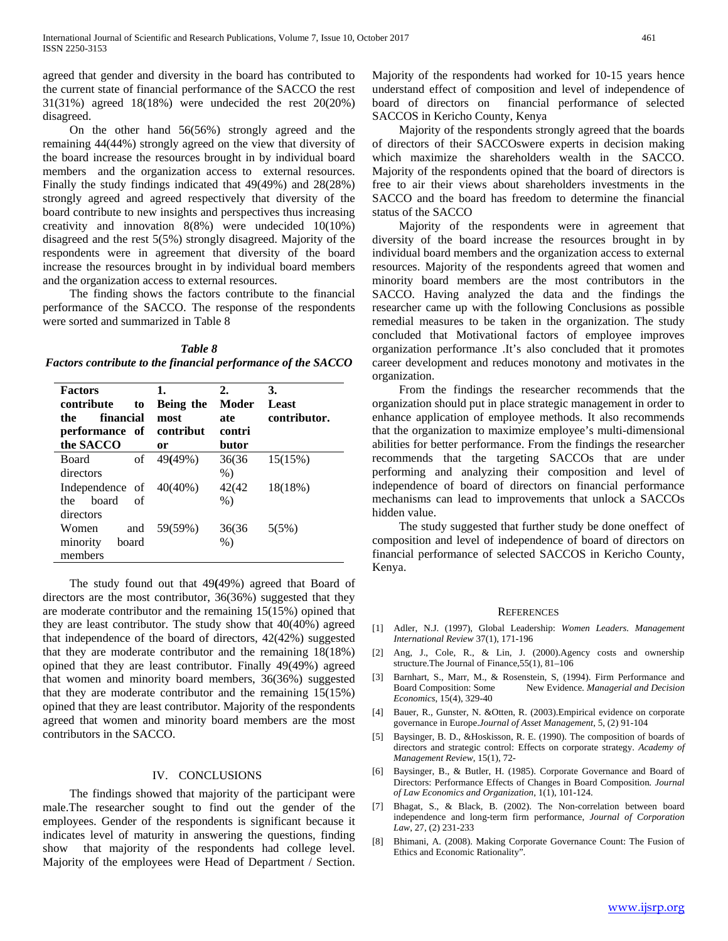agreed that gender and diversity in the board has contributed to the current state of financial performance of the SACCO the rest 31(31%) agreed 18(18%) were undecided the rest 20(20%) disagreed.

 On the other hand 56(56%) strongly agreed and the remaining 44(44%) strongly agreed on the view that diversity of the board increase the resources brought in by individual board members and the organization access to external resources. Finally the study findings indicated that 49(49%) and 28(28%) strongly agreed and agreed respectively that diversity of the board contribute to new insights and perspectives thus increasing creativity and innovation 8(8%) were undecided 10(10%) disagreed and the rest 5(5%) strongly disagreed. Majority of the respondents were in agreement that diversity of the board increase the resources brought in by individual board members and the organization access to external resources.

 The finding shows the factors contribute to the financial performance of the SACCO. The response of the respondents were sorted and summarized in Table 8

*Table 8 Factors contribute to the financial performance of the SACCO*

| <b>Factors</b><br>contribute<br>to<br>financial<br>the<br>performance of<br>the SACCO | 1.<br>Being the<br>most.<br>contribut<br>or | 2.<br>Moder<br>ate<br>contri<br>butor | 3.<br>Least<br>contributor. |
|---------------------------------------------------------------------------------------|---------------------------------------------|---------------------------------------|-----------------------------|
| <b>Board</b><br>of<br>directors                                                       | 49(49%)                                     | 36(36)<br>$\%$ )                      | 15(15%)                     |
| Independence of $40(40%)$<br>board<br>of<br>the<br>directors                          |                                             | 42(42)<br>$%$ )                       | 18(18%)                     |
| Women<br>and<br>minority<br>board<br>members                                          | 59(59%)                                     | 36(36)<br>$\%$ )                      | 5(5%)                       |

 The study found out that 49**(**49%) agreed that Board of directors are the most contributor, 36(36%) suggested that they are moderate contributor and the remaining 15(15%) opined that they are least contributor. The study show that 40(40%) agreed that independence of the board of directors, 42(42%) suggested that they are moderate contributor and the remaining 18(18%) opined that they are least contributor. Finally 49(49%) agreed that women and minority board members, 36(36%) suggested that they are moderate contributor and the remaining 15(15%) opined that they are least contributor. Majority of the respondents agreed that women and minority board members are the most contributors in the SACCO.

#### IV. CONCLUSIONS

 The findings showed that majority of the participant were male.The researcher sought to find out the gender of the employees. Gender of the respondents is significant because it indicates level of maturity in answering the questions, finding show that majority of the respondents had college level. Majority of the employees were Head of Department / Section.

Majority of the respondents had worked for 10-15 years hence understand effect of composition and level of independence of board of directors on financial performance of selected SACCOS in Kericho County, Kenya

 Majority of the respondents strongly agreed that the boards of directors of their SACCOswere experts in decision making which maximize the shareholders wealth in the SACCO. Majority of the respondents opined that the board of directors is free to air their views about shareholders investments in the SACCO and the board has freedom to determine the financial status of the SACCO

 Majority of the respondents were in agreement that diversity of the board increase the resources brought in by individual board members and the organization access to external resources. Majority of the respondents agreed that women and minority board members are the most contributors in the SACCO. Having analyzed the data and the findings the researcher came up with the following Conclusions as possible remedial measures to be taken in the organization. The study concluded that Motivational factors of employee improves organization performance .It's also concluded that it promotes career development and reduces monotony and motivates in the organization.

 From the findings the researcher recommends that the organization should put in place strategic management in order to enhance application of employee methods. It also recommends that the organization to maximize employee's multi-dimensional abilities for better performance. From the findings the researcher recommends that the targeting SACCOs that are under performing and analyzing their composition and level of independence of board of directors on financial performance mechanisms can lead to improvements that unlock a SACCOs hidden value.

 The study suggested that further study be done oneffect of composition and level of independence of board of directors on financial performance of selected SACCOS in Kericho County, Kenya.

#### **REFERENCES**

- [1] Adler, N.J. (1997), Global Leadership: *Women Leaders. Management International Review* 37(1), 171-196
- [2] Ang, J., Cole, R., & Lin, J. (2000).Agency costs and ownership structure.The Journal of Finance,55(1), 81–106
- [3] Barnhart, S., Marr, M., & Rosenstein, S. (1994). Firm Performance and Board Composition: Some New Evidence. *Managerial and Decision* Board Composition: Some New Evidence*. Managerial and Decision Economics*, 15(4), 329-40
- [4] Bauer, R., Gunster, N. &Otten, R. (2003).Empirical evidence on corporate governance in Europe.*Journal of Asset Management,* 5, (2) 91-104
- Baysinger, B. D., &Hoskisson, R. E. (1990). The composition of boards of directors and strategic control: Effects on corporate strategy. *Academy of Management Review*, 15(1), 72-
- [6] Baysinger, B., & Butler, H. (1985). Corporate Governance and Board of Directors: Performance Effects of Changes in Board Composition*. Journal of Law Economics and Organization*, 1(1), 101-124.
- [7] Bhagat, S., & Black, B. (2002). The Non-correlation between board independence and long-term firm performance, *Journal of Corporation Law*, 27, (2) 231-233
- [8] Bhimani, A. (2008). Making Corporate Governance Count: The Fusion of Ethics and Economic Rationality".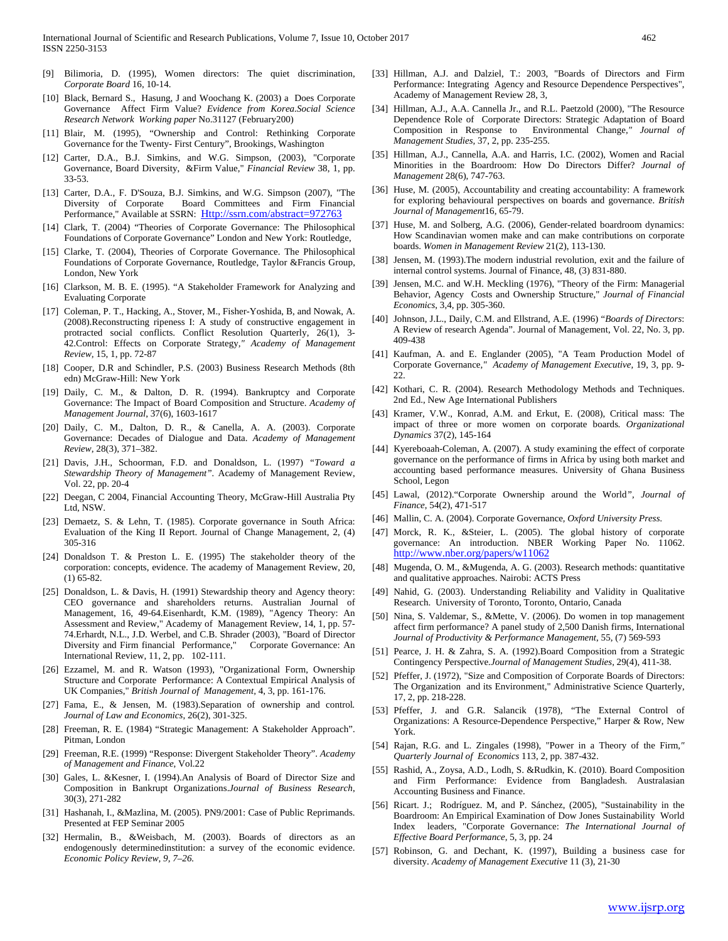- [9] Bilimoria, D. (1995), Women directors: The quiet discrimination*, Corporate Board* 16, 10-14.
- [10] Black, Bernard S., Hasung, J and Woochang K. (2003) a Does Corporate Governance Affect Firm Value? *Evidence from Korea.Social Science Research Network Working paper* No.31127 (February200)
- [11] Blair, M. (1995), "Ownership and Control: Rethinking Corporate Governance for the Twenty- First Century", Brookings, Washington
- [12] Carter, D.A., B.J. Simkins, and W.G. Simpson, (2003), "Corporate Governance, Board Diversity, &Firm Value," *Financial Review* 38, 1, pp. 33-53.
- [13] Carter, D.A., F. D'Souza, B.J. Simkins, and W.G. Simpson (2007), "The Diversity of Corporate Board Committees and Firm Financial Performance," Available at SSRN: [Http://ssrn.com/abstract=972763](http://ssrn.com/abstract=972763)
- [14] Clark, T. (2004) "Theories of Corporate Governance: The Philosophical Foundations of Corporate Governance" London and New York: Routledge,
- [15] Clarke, T. (2004), Theories of Corporate Governance. The Philosophical Foundations of Corporate Governance, Routledge, Taylor &Francis Group, London, New York
- [16] Clarkson, M. B. E. (1995). "A Stakeholder Framework for Analyzing and Evaluating Corporate
- [17] Coleman, P. T., Hacking, A., Stover, M., Fisher-Yoshida, B, and Nowak, A. (2008).Reconstructing ripeness I: A study of constructive engagement in protracted social conflicts. Conflict Resolution Quarterly, 26(1), 3-42.Control: Effects on Corporate Strategy*," Academy of Management Review,* 15, 1, pp. 72-87
- [18] Cooper, D.R and Schindler, P.S. (2003) Business Research Methods (8th edn) McGraw-Hill: New York
- [19] Daily, C. M., & Dalton, D. R. (1994). Bankruptcy and Corporate Governance: The Impact of Board Composition and Structure. *Academy of Management Journal*, 37(6), 1603-1617
- [20] Daily, C. M., Dalton, D. R., & Canella, A. A. (2003). Corporate Governance: Decades of Dialogue and Data. *Academy of Management Review*, 28(3), 371–382.
- [21] Davis, J.H., Schoorman, F.D. and Donaldson, L. (1997) *"Toward a Stewardship Theory of Management".* Academy of Management Review, Vol. 22, pp. 20-4
- [22] Deegan, C 2004, Financial Accounting Theory, McGraw-Hill Australia Pty Ltd, NSW.
- [23] Demaetz, S. & Lehn, T. (1985). Corporate governance in South Africa: Evaluation of the King II Report. Journal of Change Management, 2, (4) 305-316
- [24] Donaldson T. & Preston L. E. (1995) The stakeholder theory of the corporation: concepts, evidence. The academy of Management Review, 20, (1) 65-82.
- [25] Donaldson, L. & Davis, H. (1991) Stewardship theory and Agency theory: CEO governance and shareholders returns. Australian Journal of Management, 16, 49-64.Eisenhardt, K.M. (1989), "Agency Theory: An Assessment and Review," Academy of Management Review, 14, 1, pp. 57- 74.Erhardt, N.L., J.D. Werbel, and C.B. Shrader (2003), "Board of Director Diversity and Firm financial Performance," Corporate Governance: An International Review, 11, 2, pp. 102-111.
- [26] Ezzamel, M. and R. Watson (1993), "Organizational Form, Ownership Structure and Corporate Performance: A Contextual Empirical Analysis of UK Companies," *British Journal of Management,* 4, 3, pp. 161-176.
- [27] Fama, E., & Jensen, M. (1983).Separation of ownership and control*. Journal of Law and Economics*, 26(2), 301-325.
- [28] Freeman, R. E. (1984) "Strategic Management: A Stakeholder Approach". Pitman, London
- [29] Freeman, R.E. (1999) "Response: Divergent Stakeholder Theory". *Academy of Management and Finance*, Vol.22
- [30] Gales, L. &Kesner, I. (1994).An Analysis of Board of Director Size and Composition in Bankrupt Organizations.*Journal of Business Research*, 30(3), 271-282
- [31] Hashanah, I., &Mazlina, M. (2005). PN9/2001: Case of Public Reprimands. Presented at FEP Seminar 2005
- [32] Hermalin, B., &Weisbach, M. (2003). Boards of directors as an endogenously determinedinstitution: a survey of the economic evidence. *Economic Policy Review, 9, 7–26.*
- [33] Hillman, A.J. and Dalziel, T.: 2003, "Boards of Directors and Firm Performance: Integrating Agency and Resource Dependence Perspectives", Academy of Management Review 28, 3,
- [34] Hillman, A.J., A.A. Cannella Jr., and R.L. Paetzold (2000), "The Resource Dependence Role of Corporate Directors: Strategic Adaptation of Board Composition in Response to Environmental Change*," Journal of Management Studies,* 37, 2, pp. 235-255.
- [35] Hillman, A.J., Cannella, A.A. and Harris, I.C. (2002), Women and Racial Minorities in the Boardroom: How Do Directors Differ? *Journal of Management* 28(6), 747-763.
- [36] Huse, M. (2005), Accountability and creating accountability: A framework for exploring behavioural perspectives on boards and governance. *British Journal of Management*16, 65-79.
- [37] Huse, M. and Solberg, A.G. (2006), Gender-related boardroom dynamics: How Scandinavian women make and can make contributions on corporate boards. *Women in Management Review* 21(2), 113-130.
- [38] Jensen, M. (1993). The modern industrial revolution, exit and the failure of internal control systems. Journal of Finance, 48, (3) 831-880.
- [39] Jensen, M.C. and W.H. Meckling (1976), "Theory of the Firm: Managerial Behavior, Agency Costs and Ownership Structure," *Journal of Financial Economics*, 3,4, pp. 305-360.
- [40] Johnson, J.L., Daily, C.M. and Ellstrand, A.E. (1996) "*Boards of Directors*: A Review of research Agenda". Journal of Management, Vol. 22, No. 3, pp. 409-438
- [41] Kaufman, A. and E. Englander (2005), "A Team Production Model of Corporate Governance*," Academy of Management Executive,* 19, 3, pp. 9- 22.
- [42] Kothari, C. R. (2004). Research Methodology Methods and Techniques. 2nd Ed., New Age International Publishers
- [43] Kramer, V.W., Konrad, A.M. and Erkut, E. (2008), Critical mass: The impact of three or more women on corporate boards*. Organizational Dynamics* 37(2), 145-164
- [44] Kyereboaah-Coleman, A. (2007). A study examining the effect of corporate governance on the performance of firms in Africa by using both market and accounting based performance measures. University of Ghana Business School, Legon
- [45] Lawal, (2012)."Corporate Ownership around the World*", Journal of Finance*, 54(2), 471-517
- [46] Mallin, C. A. (2004). Corporate Governance*, Oxford University Press.*
- [47] Morck, R. K., &Steier, L. (2005). The global history of corporate governance: An introduction. NBER Working Paper No. 11062. <http://www.nber.org/papers/w11062>
- [48] Mugenda, O. M., &Mugenda, A. G. (2003). Research methods: quantitative and qualitative approaches. Nairobi: ACTS Press
- [49] Nahid, G. (2003). Understanding Reliability and Validity in Qualitative Research. University of Toronto, Toronto, Ontario, Canada
- [50] Nina, S. Valdemar, S., &Mette, V. (2006). Do women in top management affect firm performance? A panel study of 2,500 Danish firms, International *Journal of Productivity & Performance Management*, 55, (7) 569-593
- [51] Pearce, J. H. & Zahra, S. A. (1992).Board Composition from a Strategic Contingency Perspective*.Journal of Management Studies,* 29(4), 411-38.
- [52] Pfeffer, J. (1972), "Size and Composition of Corporate Boards of Directors: The Organization and its Environment," Administrative Science Quarterly, 17, 2, pp. 218-228.
- [53] Pfeffer, J. and G.R. Salancik (1978), "The External Control of Organizations: A Resource-Dependence Perspective," Harper & Row, New York.
- [54] Rajan, R.G. and L. Zingales (1998), "Power in a Theory of the Firm*," Quarterly Journal of Economics* 113, 2, pp. 387-432.
- [55] Rashid, A., Zoysa, A.D., Lodh, S. &Rudkin, K. (2010). Board Composition and Firm Performance: Evidence from Bangladesh. Australasian Accounting Business and Finance.
- [56] Ricart. J.; Rodríguez. M, and P. Sánchez, (2005), "Sustainability in the Boardroom: An Empirical Examination of Dow Jones Sustainability World Index leaders, "Corporate Governance: *The International Journal of Effective Board Performance,* 5, 3, pp. 24
- [57] Robinson, G. and Dechant, K. (1997), Building a business case for diversity. *Academy of Management Executive* 11 (3), 21-30